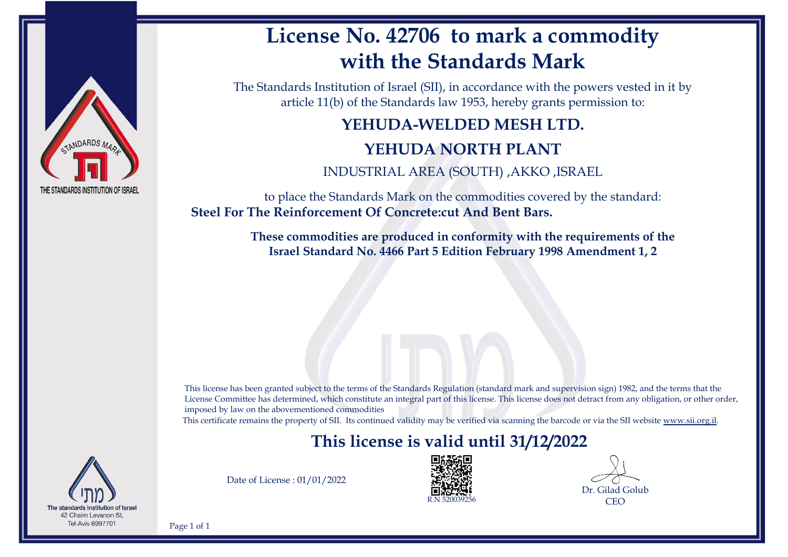

### **License No. 42706 to mark a commodity with the Standards Mark**

The Standards Institution of Israel (SII), in accordance with the powers vested in it by article 11(b) of the Standards law 1953, hereby grants permission to:

### **YEHUDA-WELDED MESH LTD. YEHUDA NORTH PLANT**

INDUSTRIAL AREA (SOUTH) ,AKKO ,ISRAEL

to place the Standards Mark on the commodities covered by the standard: **Steel For The Reinforcement Of Concrete:cut And Bent Bars.**

> **These commodities are produced in conformity with the requirements of the Israel Standard No. 4466 Part 5 Edition February 1998 Amendment 1, 2**

This license has been granted subject to the terms of the Standards Regulation (standard mark and supervision sign) 1982, and the terms that the License Committee has determined, which constitute an integral part of this license. This license does not detract from any obligation, or other order, imposed by law on the abovementioned commodities

This certificate remains the property of SII. Its continued validity may be verified via scanning the barcode or via the SII website [www.sii.org.il.](http://www.sii.org.il)

### **This license is valid until 31/12/2022**



Date of License : 01/01/2022



Dr. Gilad Golub **CEO** 

Page 1 of 1